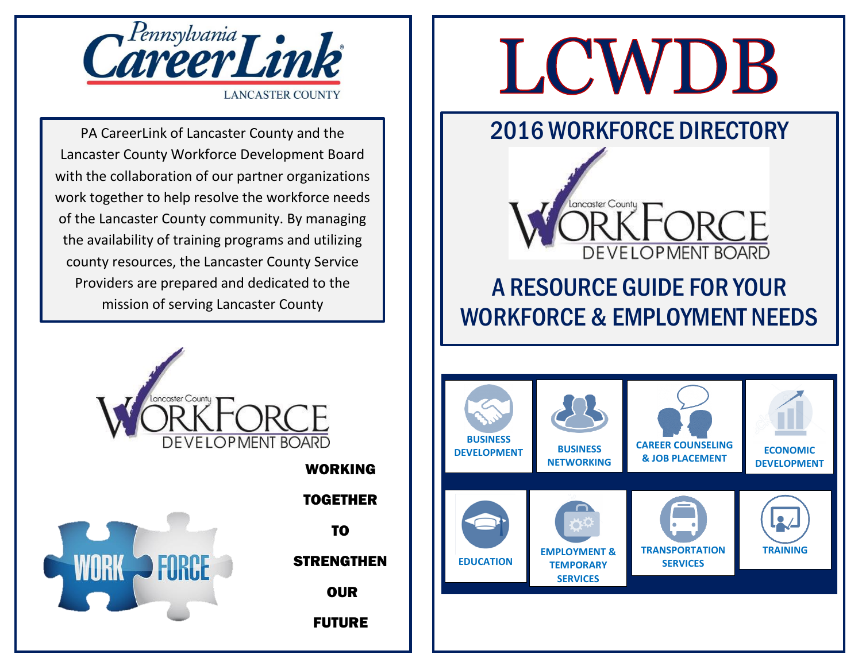

PA CareerLink of Lancaster County and the Lancaster County Workforce Development Board with the collaboration of our partner organizations work together to help resolve the workforce needs of the Lancaster County community. By managing the availability of training programs and utilizing county resources, the Lancaster County Service Providers are prepared and dedicated to the mission of serving Lancaster County





TOGETHER TO **STRENGTHEN OUR** 

## FUTURE

# LCWDB

## 2016 WORKFORCE DIRECTORY



# A RESOURCE GUIDE FOR YOUR WORKFORCE & EMPLOYMENT NEEDS

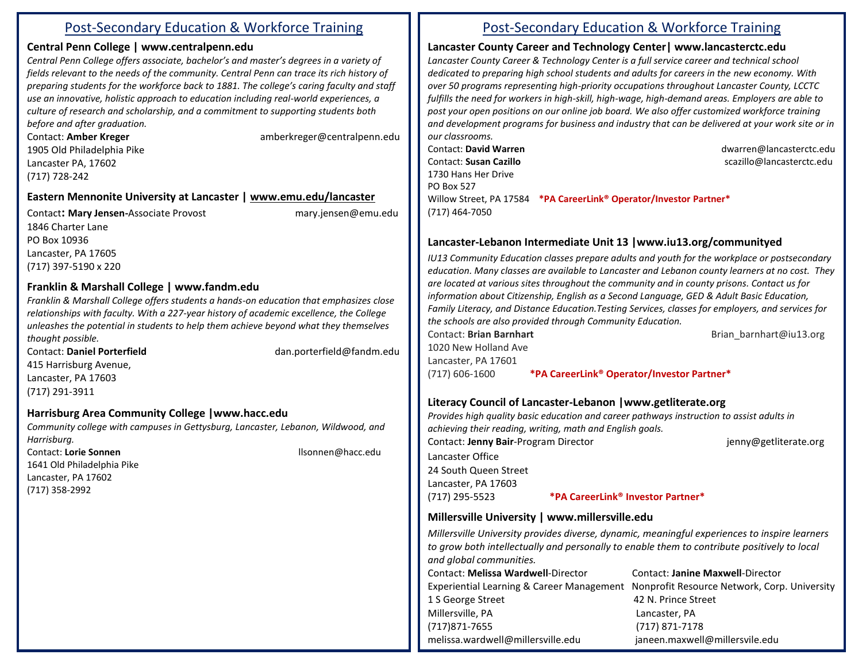## Post-Secondary Education & Workforce Training

## **Central Penn College [| www.centralpenn.edu](http://www.centralpenn.edu/)**

*Central Penn College offers associate, bachelor's and master's degrees in a variety of fields relevant to the needs of the community. Central Penn can trace its rich history of preparing students for the workforce back to 1881. The college's caring faculty and staff use an innovative, holistic approach to education including real-world experiences, a culture of research and scholarship, and a commitment to supporting students both before and after graduation.* 

Contact: **Amber Kreger** amberkreger@centralpenn.edu 1905 Old Philadelphia Pike Lancaster PA, 17602 (717) 728-242

## **Eastern Mennonite University at Lancaster | [www.emu.edu/lancaster](http://www.emu.edu/lancaster)**

Contact**: Mary Jensen-**Associate Provostmary.jensen@emu.edu 1846 Charter Lane PO Box 10936 Lancaster, PA 17605 (717) 397-5190 x 220

## **Franklin & Marshall College | www.fandm.edu**

*Franklin & Marshall College offers students a hands-on education that emphasizes close relationships with faculty. With a 227-year history of academic excellence, the College unleashes the potential in students to help them achieve beyond what they themselves thought possible.*

**Contact: Daniel Porterfield**  dan.porterfield@fandm.edu 415 Harrisburg Avenue, Lancaster, PA 17603 (717) 291-3911

## **Harrisburg Area Community College |www.hacc.edu**

*Community college with campuses in Gettysburg, Lancaster, Lebanon, Wildwood, and Harrisburg.* 

1641 Old Philadelphia Pike Lancaster, PA 17602 (717) 358-2992

Contact: **Lorie Sonnen** llsonnen@hacc.edu

## Post-Secondary Education & Workforce Training

## **Lancaster County Career and Technology Center| www.lancasterctc.edu**

*Lancaster County Career & Technology Center is a full service career and technical school dedicated to preparing high school students and adults for careers in the new economy. With over 50 programs representing high-priority occupations throughout Lancaster County, LCCTC fulfills the need for workers in high-skill, high-wage, high-demand areas. Employers are able to post your open positions on our online job board. We also offer customized workforce training and development programs for business and industry that can be delivered at your work site or in our classrooms.*

Contact: **David Warren** [dwarren@lancasterctc.edu](mailto:dwarren@lancasterctc.edu)  **Contact: Susan Cazillo** Scazillo scazillo scazillo el scazillo el segundo scazillo el segundo scazillo el segundo scazillo el segundo scazillo el segundo scazillo el segundo scazillo el segundo scazillo el segundo scazill 1730 Hans Her Drive PO Box 527 Willow Street, PA 17584 **\*PA CareerLink® Operator/Investor Partner\*** (717) 464-7050

## **Lancaster-Lebanon Intermediate Unit 13 |www.iu13.org/communityed**

*IU13 Community Education classes prepare adults and youth for the workplace or postsecondary education. Many classes are available to Lancaster and Lebanon county learners at no cost. They are located at various sites throughout the community and in county prisons. Contact us for information about Citizenship, English as a Second Language, GED & Adult Basic Education, Family Literacy, and Distance Education.Testing Services, classes for employers, and services for the schools are also provided through Community Education.*

Contact: **Brian Barnhart Brian Contact: Brian Barnhart Brian Brian Brian barnhart Brian** 1020 New Holland Ave Lancaster, PA 17601 (717) 606-1600 **\*PA CareerLink® Operator/Investor Partner\***

## **Literacy Council of Lancaster-Lebanon |www.getliterate.org**

*Provides high quality basic education and career pathways instruction to assist adults in achieving their reading, writing, math and English goals.* Contact: **Jenny Bair**-Program Director in the same of the second ienny@getliterate.org Lancaster Office 24 South Queen Street Lancaster, PA 17603 (717) 295-5523 **\*PA CareerLink® Investor Partner\***

## **Millersville University | www.millersville.edu**

*Millersville University provides diverse, dynamic, meaningful experiences to inspire learners to grow both intellectually and personally to enable them to contribute positively to local and global communities.* Contact: **Melissa Wardwell**-Director Contact: **Janine Maxwell**-Director Experiential Learning & Career Management Nonprofit Resource Network, Corp. University 1 S George Street 42 N. Prince Street Millersville, PA Lancaster, PA (717)871-7655 (717) 871-7178 [melissa.wardwell@millersville.edu](mailto:melissa.wardwell@millersville.edu) janeen.maxwell@millersvile.edu  $N_{\rm eff}$  (  $N_{\rm eff}$  ) and  $N_{\rm eff}$  (  $N_{\rm eff}$  ) and  $N_{\rm eff}$  (  $N_{\rm eff}$  ) and  $N_{\rm eff}$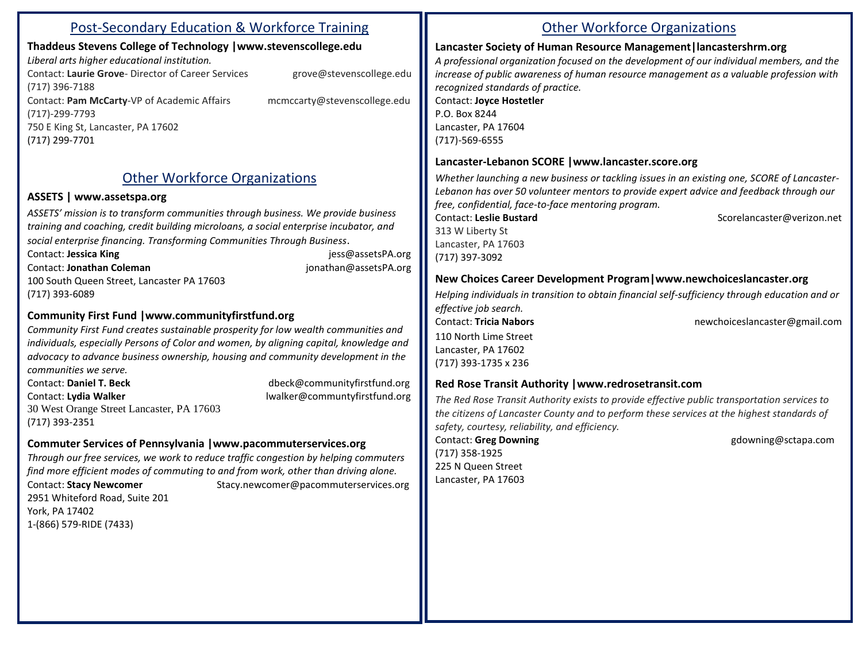## Post-Secondary Education & Workforce Training

## **Thaddeus Stevens College of Technology |www.stevenscollege.edu**

*Liberal arts higher educational institution.* Contact: **Laurie Grove**- Director of Career Services grove@stevenscollege.edu (717) 396-7188 Contact: **Pam McCarty**-VP of Academic Affairs mcmccarty@stevenscollege.edu (717)-299-7793 750 E King St, Lancaster, PA 17602 [\(717\) 299-7701](javascript:void(0))

## Other Workforce Organizations

#### **ASSETS | www.assetspa.org**

*ASSETS' mission is to transform communities through business. We provide business training and coaching, credit building microloans, a social enterprise incubator, and social enterprise financing. Transforming Communities Through Business*.

Contact: **Jessica King** [jess@assetsPA.org](mailto:jess@assetsPA.org)

Contact: **Jonathan Coleman** [jonathan@assetsPA.org](mailto:jonathan@assetsPA.org)

100 South Queen Street, Lancaster PA 17603 (717) 393-6089

## **Community First Fund |www.communityfirstfund.org**

*Community First Fund creates sustainable prosperity for low wealth communities and individuals, especially Persons of Color and women, by aligning capital, knowledge and advocacy to advance business ownership, housing and community development in the communities we serve.*

Contact: **Daniel T. Beck** dbeck@communityfirstfund.org Contact: **Lydia Walker** lwalker@communtyfirstfund.org 30 West Orange Street Lancaster, PA 17603 (717) 393-2351

## **Commuter Services of Pennsylvania |www.pacommuterservices.org**

*Through our free services, we work to reduce traffic congestion by helping commuters find more efficient modes of commuting to and from work, other than driving alone.* Contact: **Stacy Newcomer** Stacy.newcomer@pacommuterservices.org 2951 Whiteford Road, Suite 201 York, PA 17402 1-(866) 579-RIDE (7433)

## Other Workforce Organizations

#### **Lancaster Society of Human Resource Management|lancastershrm.org**

*A professional organization focused on the development of our individual members, and the increase of public awareness of human resource management as a valuable profession with recognized standards of practice.* Contact: **Joyce Hostetler**

P.O. Box 8244 Lancaster, PA 17604 (717)-569-6555

#### **Lancaster-Lebanon SCORE |www.lancaster.score.org**

*Whether launching a new business or tackling issues in an existing one, SCORE of Lancaster-Lebanon has over 50 volunteer mentors to provide expert advice and feedback through our free, confidential, face-to-face mentoring program.*

Contact: **Leslie Bustard** Scorelancaster@verizon.net 313 W Liberty St Lancaster, PA 17603 (717) 397-3092

## **New Choices Career Development Program|www.newchoiceslancaster.org**

*Helping individuals in transition to obtain financial self-sufficiency through education and or effective job search.* Contact: **Tricia Nabors** newchoiceslancaster@gmail.com 110 North Lime Street Lancaster, PA 17602 (717) 393-1735 x 236

#### **Red Rose Transit Authority |www.redrosetransit.com**

*The Red Rose Transit Authority exists to provide effective public transportation services to the citizens of Lancaster County and to perform these services at the highest standards of safety, courtesy, reliability, and efficiency.*

**Contact: Greg Downing Contact: Greg Downing Contact: Greg Downing Contact: Greg Downing Contact: Greg Downing Contact: Greg Downing Contact: Greg Downing Contact: Greg Downing Contact: Greg Downing Contact: Greg Downing C** (717) 358-1925 225 N Queen Street Lancaster, PA 17603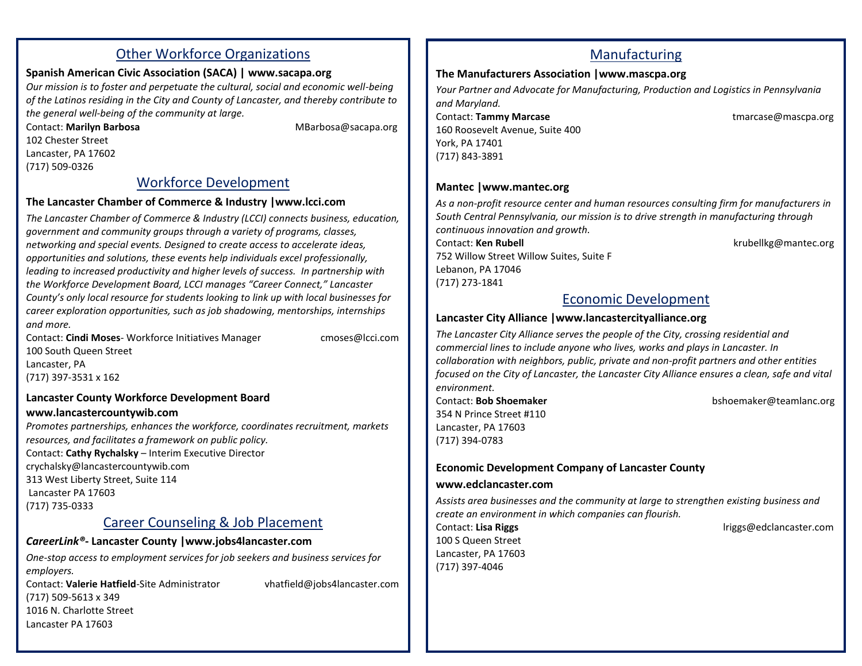## Other Workforce Organizations

## **Spanish American Civic Association (SACA) | [www.sacapa.org](http://www.sacapa.org/)**

*Our mission is to foster and perpetuate the cultural, social and economic well-being of the Latinos residing in the City and County of Lancaster, and thereby contribute to the general well-being of the community at large.*

Contact: **Marilyn Barbosa** MBarbosa@sacapa.org 102 Chester Street Lancaster, PA 17602 (717) 509-0326

## Workforce Development

#### **The Lancaster Chamber of Commerce & Industry |www.lcci.com**

*The Lancaster Chamber of Commerce & Industry (LCCI) connects business, education, government and community groups through a variety of programs, classes, networking and special events. Designed to create access to accelerate ideas, opportunities and solutions, these events help individuals excel professionally, leading to increased productivity and higher levels of success. In partnership with the Workforce Development Board, LCCI manages "Career Connect," Lancaster County's only local resource for students looking to link up with local businesses for career exploration opportunities, such as job shadowing, mentorships, internships and more.*

Contact: **Cindi Moses**- Workforce Initiatives Manager cmoses@lcci.com 100 South Queen Street Lancaster, PA (717) 397-3531 x 162

#### **Lancaster County Workforce Development Board www.lancastercountywib.com**

*Promotes partnerships, enhances the workforce, coordinates recruitment, markets resources, and facilitates a framework on public policy.* Contact: **Cathy Rychalsky** – Interim Executive Director crychalsky@lancastercountywib.com 313 West Liberty Street, Suite 114 Lancaster PA 17603 (717) 735-0333

## Career Counseling & Job Placement

## *CareerLink®***- Lancaster County |www.jobs4lancaster.com**

*One-stop access to employment services for job seekers and business services for employers.*

 $(717)$  505 5015  $x$  545<br>1016 N. Charlotte Street Contact: **Valerie Hatfield**-Site Administrator vhatfield@jobs4lancaster.com (717) 509-5613 x 349 Lancaster PA 17603

## Manufacturing

## **The Manufacturers Association |www.mascpa.org**

*Your Partner and Advocate for Manufacturing, Production and Logistics in Pennsylvania and Maryland.* Contact: **Tammy Marcase** tmarcase@mascpa.org 160 Roosevelt Avenue, Suite 400 York, PA 17401 (717) 843-3891

## **Mantec |www.mantec.org**

*As a non-profit resource center and human resources consulting firm for manufacturers in South Central Pennsylvania, our mission is to drive strength in manufacturing through continuous innovation and growth.*

Contact: **Ken Rubell Krubell Krubell** krubellkg@mantec.org 752 Willow Street Willow Suites, Suite F Lebanon, PA 17046 (717) 273-1841

## Economic Development

## **Lancaster City Alliance |www.lancastercityalliance.org**

*The Lancaster City Alliance serves the people of the City, crossing residential and commercial lines to include anyone who lives, works and plays in Lancaster. In collaboration with neighbors, public, private and non-profit partners and other entities focused on the City of Lancaster, the Lancaster City Alliance ensures a clean, safe and vital environment.*

354 N Prince Street #110 Lancaster, PA 17603 (717) 394-0783

Contact: **Bob Shoemaker** bshoemaker@teamlanc.org

## **Economic Development Company of Lancaster County**

#### **www.edclancaster.com**

*Assists area businesses and the community at large to strengthen existing business and create an environment in which companies can flourish.*

Contact: **Lisa Riggs** lriggs@edclancaster.com

100 S Queen Street Lancaster, PA 17603 (717) 397-4046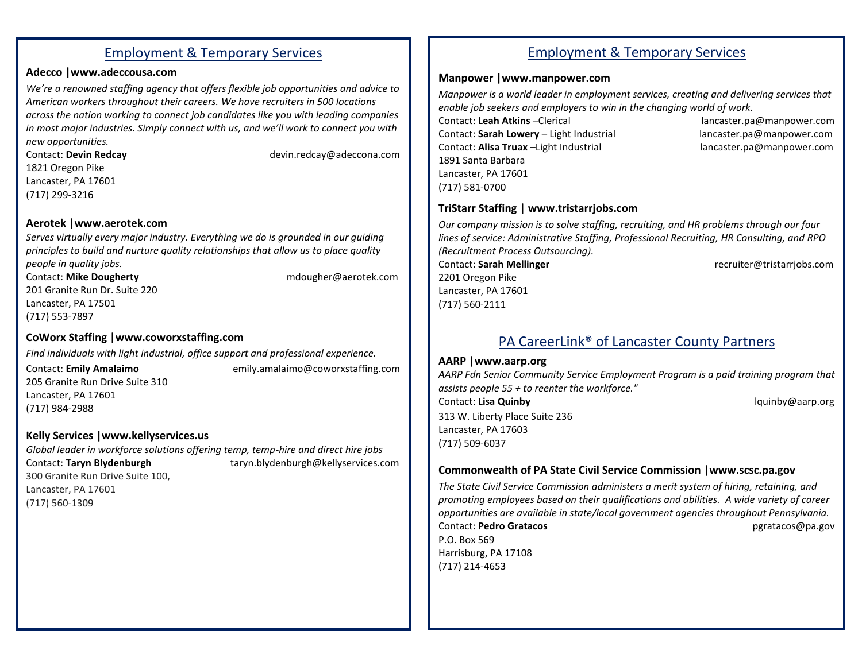## Employment & Temporary Services

#### **Adecco |www.adeccousa.com**

*We're a renowned staffing agency that offers flexible job opportunities and advice to American workers throughout their careers. We have recruiters in 500 locations across the nation working to connect job candidates like you with leading companies in most major industries. Simpl[y connect with us](http://www.adeccousa.com/locations/Pages/welcome.aspx), and we'll work to connect you with new opportunities.*

Contact: **Devin Redcay** devin.redcay@adeccona.com 1821 Oregon Pike Lancaster, PA 17601 (717) 299-3216

#### **Aerotek |www.aerotek.com**

*Serves virtually every major industry. Everything we do is grounded in our guiding principles to build and nurture quality relationships that allow us to place quality people in quality jobs.*

Contact: **Mike Dougherty** mdougher@aerotek.com 201 Granite Run Dr. Suite 220 Lancaster, PA 17501 (717) 553-7897

## **CoWorx Staffing |www.coworxstaffing.com**

*Find individuals with light industrial, office support and professional experience.* Contact: **Emily Amalaimo** emily.amalaimo@coworxstaffing.com 205 Granite Run Drive Suite 310 Lancaster, PA 17601 (717) 984-2988

#### **Kelly Services |www.kellyservices.us**

*Global leader in workforce solutions offering temp, temp-hire and direct hire jobs* Contact: **Taryn Blydenburgh** taryn.blydenburgh@kellyservices.com 300 Granite Run Drive Suite 100, Lancaster, PA 17601 (717) 560-1309

## Employment & Temporary Services

## **Manpower |www.manpower.com**

*Manpower is a world leader in employment services, creating and delivering services that enable job seekers and employers to win in the changing world of work.*

Contact: **Sarah Lowery** – Light Industrial lancaster.pa@manpower.com Contact: **Alisa Truax** –Light Industrial lancaster.pa@manpower.com 1891 Santa Barbara Lancaster, PA 17601 (717) 581-0700

Contact: **Leah Atkins** –Clerical lancaster.pa@manpower.com

#### **TriStarr Staffing | [www.tristarrjobs.com](http://www.tristarrjobs.com/)**

*Our company mission is to solve staffing, recruiting, and HR problems through our four lines of service: [Administrative Staffing,](http://tristarrjobs.com/employers/services/staffing/admin-staffing-services/) [Professional Recruiting,](http://tristarrjobs.com/employers/services/staffing/professional-staffing-services/) [HR Consulting,](http://tristarrjobs.com/employers/services/consulting/) and [RPO](http://tristarrjobs.com/employers/services/recruiting/recruitment-process-outsourcing/)  [\(Recruitment Process Outsourcing\).](http://tristarrjobs.com/employers/services/recruiting/recruitment-process-outsourcing/)*

2201 Oregon Pike Lancaster, PA 17601 (717) 560-2111

Contact: **Sarah Mellinger** recruiter@tristarrjobs.com

## PA CareerLink® of Lancaster County Partners

#### **AARP |www.aarp.org**

*AARP Fdn Senior Community Service Employment Program is a paid training program that assists people 55 + to reenter the workforce."* Contact: **Lisa Quinby** lquinby@aarp.org 313 W. Liberty Place Suite 236 Lancaster, PA 17603

(717) 509-6037

#### **Commonwealth of PA State Civil Service Commission |www.scsc.pa.gov**

*The State Civil Service Commission administers a merit system of hiring, retaining, and promoting employees based on their qualifications and abilities. A wide variety of career opportunities are available in state/local government agencies throughout Pennsylvania.* Contact: **Pedro Gratacos** pgratacos@pa.gov P.O. Box 569 Harrisburg, PA 17108 (717) 214-4653